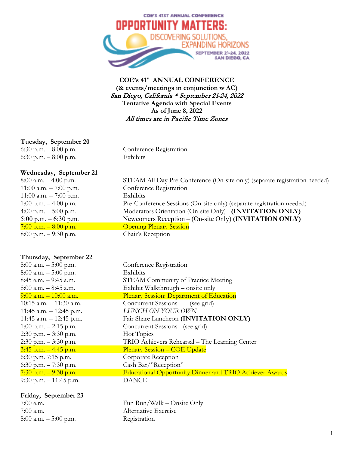

# **COE's 41st ANNUAL CONFERENCE (& events/meetings in conjunction w AC)** San Diego, California \* September 21-24, 2022 **Tentative Agenda with Special Events As of June 8, 2022** All times are in Pacific Time Zones

## **Tuesday, September 20**

6:30 p.m. – 8:00 p.m. Conference Registration 6:30 p.m. – 8:00 p.m. Exhibits

### **Wednesday, September 21**

| 8:00 a.m. $-$ 4:00 p.m.  | STEAM All Day Pre-Conference (On-site only) (separate registration needed) |
|--------------------------|----------------------------------------------------------------------------|
| 11:00 a.m. $-7:00$ p.m.  | Conference Registration                                                    |
| 11:00 a.m. $-7:00$ p.m.  | Exhibits                                                                   |
| 1:00 p.m. $-$ 4:00 p.m.  | Pre-Conference Sessions (On-site only) (separate registration needed)      |
| 4:00 p.m. $-$ 5:00 p.m.  | Moderators Orientation (On-site Only) - (INVITATION ONLY)                  |
| 5:00 p.m. $-6:30$ p.m.   | Newcomers Reception $-$ (On-site Only) (INVITATION ONLY)                   |
| $7:00$ p.m. $-8:00$ p.m. | <b>Opening Plenary Session</b>                                             |
| $8:00$ p.m. $-9:30$ p.m. | Chair's Reception                                                          |
|                          |                                                                            |

# **Thursday, September 22**

| $8:00$ a.m. $-5:00$ p.m.   | Conference Registration                                        |
|----------------------------|----------------------------------------------------------------|
| $8:00$ a.m. $-5:00$ p.m.   | Exhibits                                                       |
| $8:45$ a.m. $-9:45$ a.m.   | <b>STEAM Community of Practice Meeting</b>                     |
| $8:00$ a.m. $-8:45$ a.m.   | Exhibit Walkthrough – onsite only                              |
| $9:00$ a.m. $-10:00$ a.m.  | Plenary Session: Department of Education                       |
| $10:15$ a.m. $-11:30$ a.m. | Concurrent Sessions – (see grid)                               |
| 11:45 a.m. $-$ 12:45 p.m.  | LUNCH ON YOUR OWN                                              |
| 11:45 a.m. $-$ 12:45 p.m.  | Fair Share Luncheon (INVITATION ONLY)                          |
| $1:00$ p.m. $-2:15$ p.m.   | Concurrent Sessions - (see grid)                               |
| $2:30$ p.m. $-3:30$ p.m.   | Hot Topics                                                     |
| $2:30$ p.m. $-3:30$ p.m.   | TRIO Achievers Rehearsal – The Learning Center                 |
| $3:45$ p.m. $-4:45$ p.m.   | <b>Plenary Session – COE Update</b>                            |
| $6:30$ p.m. 7:15 p.m.      | Corporate Reception                                            |
| 6:30 p.m. $-7:30$ p.m.     | Cash Bar/"Reception"                                           |
| $7:30$ p.m. $-9:30$ p.m.   | <b>Educational Opportunity Dinner and TRIO Achiever Awards</b> |
| 9:30 p.m. $-11:45$ p.m.    | <b>DANCE</b>                                                   |
|                            |                                                                |

#### **Friday, September 23**

8:00 a.m. – 5:00 p.m. Registration

7:00 a.m. Fun Run/Walk – Onsite Only 7:00 a.m. Alternative Exercise